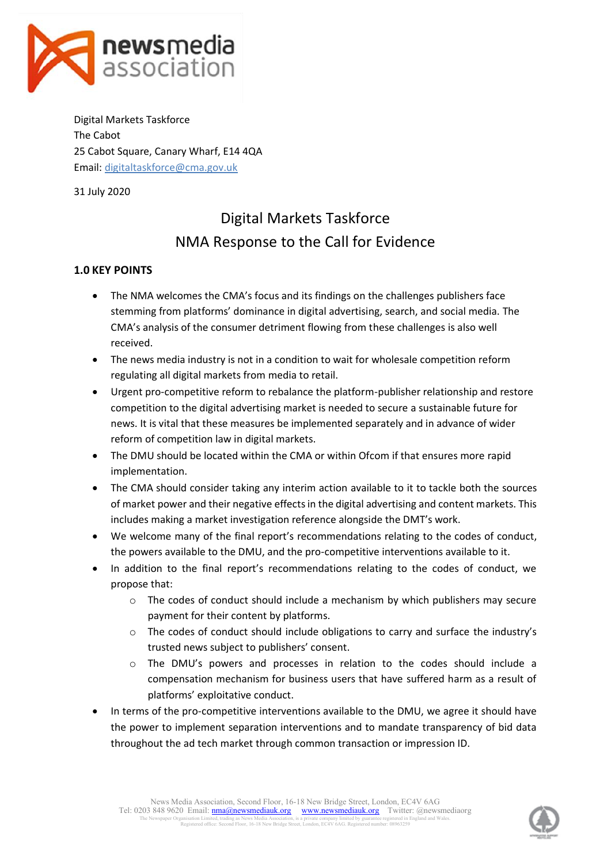

Digital Markets Taskforce The Cabot 25 Cabot Square, Canary Wharf, E14 4QA Email: [digitaltaskforce@cma.gov.uk](mailto:digitaltaskforce@cma.gov.uk)

31 July 2020

# Digital Markets Taskforce NMA Response to the Call for Evidence

# **1.0 KEY POINTS**

- The NMA welcomes the CMA's focus and its findings on the challenges publishers face stemming from platforms' dominance in digital advertising, search, and social media. The CMA's analysis of the consumer detriment flowing from these challenges is also well received.
- The news media industry is not in a condition to wait for wholesale competition reform regulating all digital markets from media to retail.
- Urgent pro-competitive reform to rebalance the platform-publisher relationship and restore competition to the digital advertising market is needed to secure a sustainable future for news. It is vital that these measures be implemented separately and in advance of wider reform of competition law in digital markets.
- The DMU should be located within the CMA or within Ofcom if that ensures more rapid implementation.
- The CMA should consider taking any interim action available to it to tackle both the sources of market power and their negative effects in the digital advertising and content markets. This includes making a market investigation reference alongside the DMT's work.
- We welcome many of the final report's recommendations relating to the codes of conduct, the powers available to the DMU, and the pro-competitive interventions available to it.
- In addition to the final report's recommendations relating to the codes of conduct, we propose that:
	- $\circ$  The codes of conduct should include a mechanism by which publishers may secure payment for their content by platforms.
	- o The codes of conduct should include obligations to carry and surface the industry's trusted news subject to publishers' consent.
	- o The DMU's powers and processes in relation to the codes should include a compensation mechanism for business users that have suffered harm as a result of platforms' exploitative conduct.
- In terms of the pro-competitive interventions available to the DMU, we agree it should have the power to implement separation interventions and to mandate transparency of bid data throughout the ad tech market through common transaction or impression ID.

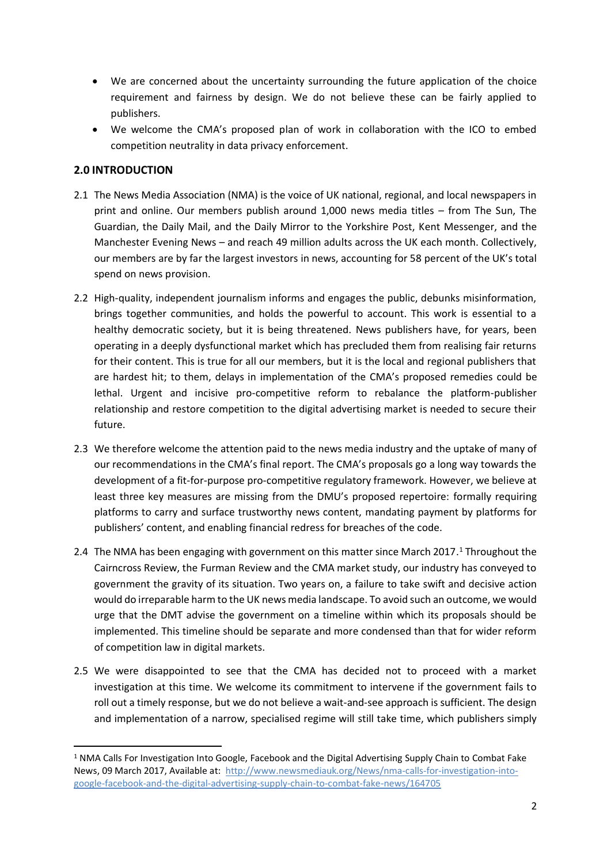- We are concerned about the uncertainty surrounding the future application of the choice requirement and fairness by design. We do not believe these can be fairly applied to publishers.
- We welcome the CMA's proposed plan of work in collaboration with the ICO to embed competition neutrality in data privacy enforcement.

## **2.0 INTRODUCTION**

- 2.1 The News Media Association (NMA) is the voice of UK national, regional, and local newspapers in print and online. Our members publish around 1,000 news media titles – from The Sun, The Guardian, the Daily Mail, and the Daily Mirror to the Yorkshire Post, Kent Messenger, and the Manchester Evening News – and reach 49 million adults across the UK each month. Collectively, our members are by far the largest investors in news, accounting for 58 percent of the UK's total spend on news provision.
- 2.2 High-quality, independent journalism informs and engages the public, debunks misinformation, brings together communities, and holds the powerful to account. This work is essential to a healthy democratic society, but it is being threatened. News publishers have, for years, been operating in a deeply dysfunctional market which has precluded them from realising fair returns for their content. This is true for all our members, but it is the local and regional publishers that are hardest hit; to them, delays in implementation of the CMA's proposed remedies could be lethal. Urgent and incisive pro-competitive reform to rebalance the platform-publisher relationship and restore competition to the digital advertising market is needed to secure their future.
- 2.3 We therefore welcome the attention paid to the news media industry and the uptake of many of our recommendations in the CMA's final report. The CMA's proposals go a long way towards the development of a fit-for-purpose pro-competitive regulatory framework. However, we believe at least three key measures are missing from the DMU's proposed repertoire: formally requiring platforms to carry and surface trustworthy news content, mandating payment by platforms for publishers' content, and enabling financial redress for breaches of the code.
- 2.4 The NMA has been engaging with government on this matter since March 2017.<sup>1</sup> Throughout the Cairncross Review, the Furman Review and the CMA market study, our industry has conveyed to government the gravity of its situation. Two years on, a failure to take swift and decisive action would do irreparable harm to the UK news media landscape. To avoid such an outcome, we would urge that the DMT advise the government on a timeline within which its proposals should be implemented. This timeline should be separate and more condensed than that for wider reform of competition law in digital markets.
- 2.5 We were disappointed to see that the CMA has decided not to proceed with a market investigation at this time. We welcome its commitment to intervene if the government fails to roll out a timely response, but we do not believe a wait-and-see approach is sufficient. The design and implementation of a narrow, specialised regime will still take time, which publishers simply

<sup>&</sup>lt;sup>1</sup> NMA Calls For Investigation Into Google, Facebook and the Digital Advertising Supply Chain to Combat Fake News, 09 March 2017, Available at: [http://www.newsmediauk.org/News/nma-calls-for-investigation-into](http://www.newsmediauk.org/News/nma-calls-for-investigation-into-google-facebook-and-the-digital-advertising-supply-chain-to-combat-fake-news/164705)[google-facebook-and-the-digital-advertising-supply-chain-to-combat-fake-news/164705](http://www.newsmediauk.org/News/nma-calls-for-investigation-into-google-facebook-and-the-digital-advertising-supply-chain-to-combat-fake-news/164705)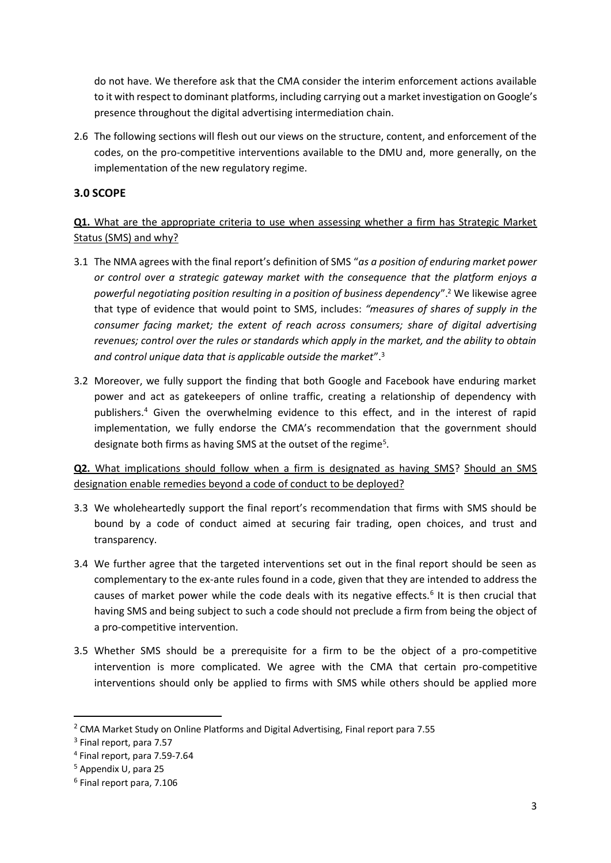do not have. We therefore ask that the CMA consider the interim enforcement actions available to it with respect to dominant platforms, including carrying out a market investigation on Google's presence throughout the digital advertising intermediation chain.

2.6 The following sections will flesh out our views on the structure, content, and enforcement of the codes, on the pro-competitive interventions available to the DMU and, more generally, on the implementation of the new regulatory regime.

#### **3.0 SCOPE**

**Q1.** What are the appropriate criteria to use when assessing whether a firm has Strategic Market Status (SMS) and why?

- 3.1 The NMA agrees with the final report's definition of SMS "*as a position of enduring market power or control over a strategic gateway market with the consequence that the platform enjoys a powerful negotiating position resulting in a position of business dependency*".<sup>2</sup> We likewise agree that type of evidence that would point to SMS, includes: *"measures of shares of supply in the consumer facing market; the extent of reach across consumers; share of digital advertising revenues; control over the rules or standards which apply in the market, and the ability to obtain and control unique data that is applicable outside the market*". 3
- 3.2 Moreover, we fully support the finding that both Google and Facebook have enduring market power and act as gatekeepers of online traffic, creating a relationship of dependency with publishers.<sup>4</sup> Given the overwhelming evidence to this effect, and in the interest of rapid implementation, we fully endorse the CMA's recommendation that the government should designate both firms as having SMS at the outset of the regime<sup>5</sup>.

**Q2.** What implications should follow when a firm is designated as having SMS? Should an SMS designation enable remedies beyond a code of conduct to be deployed?

- 3.3 We wholeheartedly support the final report's recommendation that firms with SMS should be bound by a code of conduct aimed at securing fair trading, open choices, and trust and transparency.
- 3.4 We further agree that the targeted interventions set out in the final report should be seen as complementary to the ex-ante rules found in a code, given that they are intended to address the causes of market power while the code deals with its negative effects.<sup>6</sup> It is then crucial that having SMS and being subject to such a code should not preclude a firm from being the object of a pro-competitive intervention.
- 3.5 Whether SMS should be a prerequisite for a firm to be the object of a pro-competitive intervention is more complicated. We agree with the CMA that certain pro-competitive interventions should only be applied to firms with SMS while others should be applied more

<sup>2</sup> CMA Market Study on Online Platforms and Digital Advertising, Final report para 7.55

<sup>&</sup>lt;sup>3</sup> Final report, para 7.57

<sup>4</sup> Final report, para 7.59-7.64

<sup>5</sup> Appendix U, para 25

<sup>6</sup> Final report para, 7.106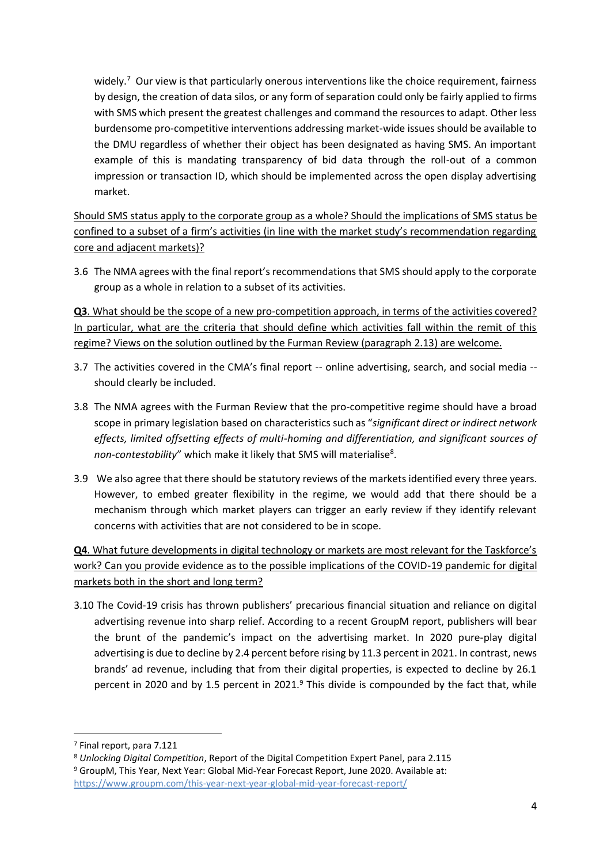widely.<sup>7</sup> Our view is that particularly onerous interventions like the choice requirement, fairness by design, the creation of data silos, or any form of separation could only be fairly applied to firms with SMS which present the greatest challenges and command the resources to adapt. Other less burdensome pro-competitive interventions addressing market-wide issues should be available to the DMU regardless of whether their object has been designated as having SMS. An important example of this is mandating transparency of bid data through the roll-out of a common impression or transaction ID, which should be implemented across the open display advertising market.

Should SMS status apply to the corporate group as a whole? Should the implications of SMS status be confined to a subset of a firm's activities (in line with the market study's recommendation regarding core and adjacent markets)?

3.6 The NMA agrees with the final report's recommendations that SMS should apply to the corporate group as a whole in relation to a subset of its activities.

**Q3**. What should be the scope of a new pro-competition approach, in terms of the activities covered? In particular, what are the criteria that should define which activities fall within the remit of this regime? Views on the solution outlined by the Furman Review (paragraph 2.13) are welcome.

- 3.7 The activities covered in the CMA's final report -- online advertising, search, and social media should clearly be included.
- 3.8 The NMA agrees with the Furman Review that the pro-competitive regime should have a broad scope in primary legislation based on characteristics such as "*significant direct or indirect network effects, limited offsetting effects of multi-homing and differentiation, and significant sources of*  non-contestability" which make it likely that SMS will materialise<sup>8</sup>.
- 3.9 We also agree that there should be statutory reviews of the markets identified every three years. However, to embed greater flexibility in the regime, we would add that there should be a mechanism through which market players can trigger an early review if they identify relevant concerns with activities that are not considered to be in scope.

**Q4**. What future developments in digital technology or markets are most relevant for the Taskforce's work? Can you provide evidence as to the possible implications of the COVID-19 pandemic for digital markets both in the short and long term?

3.10 The Covid-19 crisis has thrown publishers' precarious financial situation and reliance on digital advertising revenue into sharp relief. According to a recent GroupM report, publishers will bear the brunt of the pandemic's impact on the advertising market. In 2020 pure-play digital advertising is due to decline by 2.4 percent before rising by 11.3 percent in 2021. In contrast, news brands' ad revenue, including that from their digital properties, is expected to decline by 26.1 percent in 2020 and by 1.5 percent in 2021. $9$  This divide is compounded by the fact that, while

<sup>7</sup> Final report, para 7.121

<sup>8</sup> *Unlocking Digital Competition*, Report of the Digital Competition Expert Panel, para 2.115 <sup>9</sup> GroupM, This Year, Next Year: Global Mid-Year Forecast Report, June 2020. Available at:

<https://www.groupm.com/this-year-next-year-global-mid-year-forecast-report/>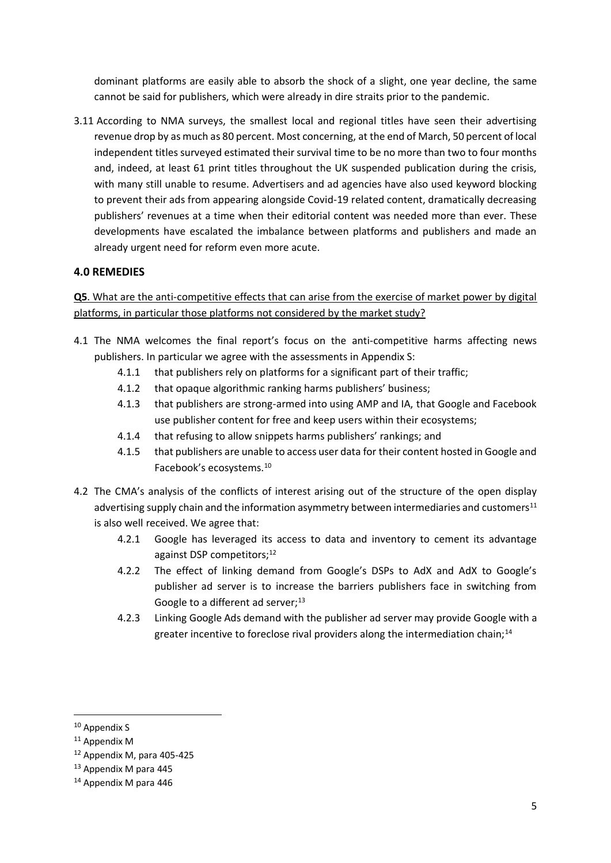dominant platforms are easily able to absorb the shock of a slight, one year decline, the same cannot be said for publishers, which were already in dire straits prior to the pandemic.

3.11 According to NMA surveys, the smallest local and regional titles have seen their advertising revenue drop by as much as 80 percent. Most concerning, at the end of March, 50 percent of local independent titles surveyed estimated their survival time to be no more than two to four months and, indeed, at least 61 print titles throughout the UK suspended publication during the crisis, with many still unable to resume. Advertisers and ad agencies have also used keyword blocking to prevent their ads from appearing alongside Covid-19 related content, dramatically decreasing publishers' revenues at a time when their editorial content was needed more than ever. These developments have escalated the imbalance between platforms and publishers and made an already urgent need for reform even more acute.

## **4.0 REMEDIES**

# **Q5**. What are the anti-competitive effects that can arise from the exercise of market power by digital platforms, in particular those platforms not considered by the market study?

- 4.1 The NMA welcomes the final report's focus on the anti-competitive harms affecting news publishers. In particular we agree with the assessments in Appendix S:
	- 4.1.1 that publishers rely on platforms for a significant part of their traffic;
	- 4.1.2 that opaque algorithmic ranking harms publishers' business;
	- 4.1.3 that publishers are strong-armed into using AMP and IA, that Google and Facebook use publisher content for free and keep users within their ecosystems;
	- 4.1.4 that refusing to allow snippets harms publishers' rankings; and
	- 4.1.5 that publishers are unable to access user data for their content hosted in Google and Facebook's ecosystems.<sup>10</sup>
- 4.2 The CMA's analysis of the conflicts of interest arising out of the structure of the open display advertising supply chain and the information asymmetry between intermediaries and customers $11$ is also well received. We agree that:
	- 4.2.1 Google has leveraged its access to data and inventory to cement its advantage against DSP competitors:<sup>12</sup>
	- 4.2.2 The effect of linking demand from Google's DSPs to AdX and AdX to Google's publisher ad server is to increase the barriers publishers face in switching from Google to a different ad server; $^{13}$
	- 4.2.3 Linking Google Ads demand with the publisher ad server may provide Google with a greater incentive to foreclose rival providers along the intermediation chain;<sup>14</sup>

<sup>&</sup>lt;sup>10</sup> Appendix S

<sup>&</sup>lt;sup>11</sup> Appendix M

<sup>12</sup> Appendix M, para 405-425

<sup>13</sup> Appendix M para 445

<sup>14</sup> Appendix M para 446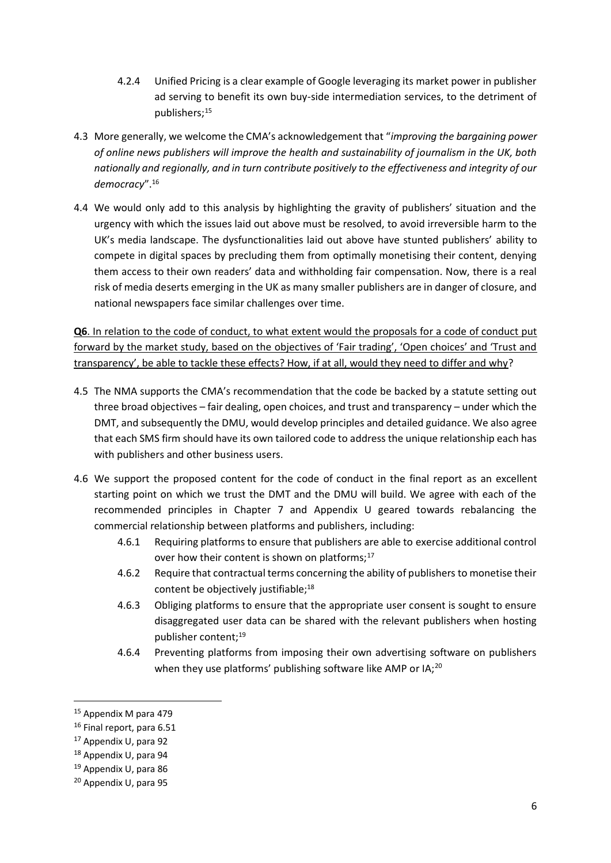- 4.2.4 Unified Pricing is a clear example of Google leveraging its market power in publisher ad serving to benefit its own buy-side intermediation services, to the detriment of publishers;<sup>15</sup>
- 4.3 More generally, we welcome the CMA's acknowledgement that "*improving the bargaining power of online news publishers will improve the health and sustainability of journalism in the UK, both nationally and regionally, and in turn contribute positively to the effectiveness and integrity of our democracy*".<sup>16</sup>
- 4.4 We would only add to this analysis by highlighting the gravity of publishers' situation and the urgency with which the issues laid out above must be resolved, to avoid irreversible harm to the UK's media landscape. The dysfunctionalities laid out above have stunted publishers' ability to compete in digital spaces by precluding them from optimally monetising their content, denying them access to their own readers' data and withholding fair compensation. Now, there is a real risk of media deserts emerging in the UK as many smaller publishers are in danger of closure, and national newspapers face similar challenges over time.

**Q6**. In relation to the code of conduct, to what extent would the proposals for a code of conduct put forward by the market study, based on the objectives of 'Fair trading', 'Open choices' and 'Trust and transparency', be able to tackle these effects? How, if at all, would they need to differ and why?

- 4.5 The NMA supports the CMA's recommendation that the code be backed by a statute setting out three broad objectives – fair dealing, open choices, and trust and transparency – under which the DMT, and subsequently the DMU, would develop principles and detailed guidance. We also agree that each SMS firm should have its own tailored code to address the unique relationship each has with publishers and other business users.
- 4.6 We support the proposed content for the code of conduct in the final report as an excellent starting point on which we trust the DMT and the DMU will build. We agree with each of the recommended principles in Chapter 7 and Appendix U geared towards rebalancing the commercial relationship between platforms and publishers, including:
	- 4.6.1 Requiring platforms to ensure that publishers are able to exercise additional control over how their content is shown on platforms:<sup>17</sup>
	- 4.6.2 Require that contractual terms concerning the ability of publishers to monetise their content be objectively justifiable;<sup>18</sup>
	- 4.6.3 Obliging platforms to ensure that the appropriate user consent is sought to ensure disaggregated user data can be shared with the relevant publishers when hosting publisher content;<sup>19</sup>
	- 4.6.4 Preventing platforms from imposing their own advertising software on publishers when they use platforms' publishing software like AMP or IA;<sup>20</sup>

<sup>15</sup> Appendix M para 479

<sup>16</sup> Final report, para 6.51

<sup>17</sup> Appendix U, para 92

<sup>18</sup> Appendix U, para 94

<sup>19</sup> Appendix U, para 86

<sup>20</sup> Appendix U, para 95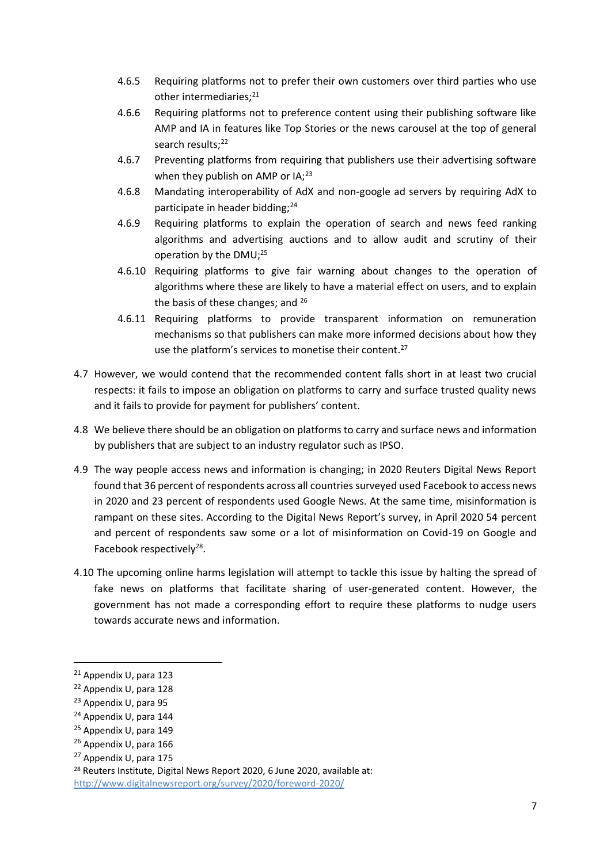- 4.6.5 Requiring platforms not to prefer their own customers over third parties who use other intermediaries;<sup>21</sup>
- 4.6.6 Requiring platforms not to preference content using their publishing software like AMP and IA in features like Top Stories or the news carousel at the top of general search results:<sup>22</sup>
- 4.6.7 Preventing platforms from requiring that publishers use their advertising software when they publish on AMP or  $IA:^{23}$
- 4.6.8 Mandating interoperability of AdX and non-google ad servers by requiring AdX to participate in header bidding;<sup>24</sup>
- 4.6.9 Requiring platforms to explain the operation of search and news feed ranking algorithms and advertising auctions and to allow audit and scrutiny of their operation by the DMU;<sup>25</sup>
- 4.6.10 Requiring platforms to give fair warning about changes to the operation of algorithms where these are likely to have a material effect on users, and to explain the basis of these changes; and <sup>26</sup>
- 4.6.11 Requiring platforms to provide transparent information on remuneration mechanisms so that publishers can make more informed decisions about how they use the platform's services to monetise their content.<sup>27</sup>
- 4.7 However, we would contend that the recommended content falls short in at least two crucial respects: it fails to impose an obligation on platforms to carry and surface trusted quality news and it fails to provide for payment for publishers' content.
- 4.8 We believe there should be an obligation on platforms to carry and surface news and information by publishers that are subject to an industry regulator such as IPSO.
- 4.9 The way people access news and information is changing; in 2020 Reuters Digital News Report found that 36 percent of respondents across all countries surveyed used Facebook to access news in 2020 and 23 percent of respondents used Google News. At the same time, misinformation is rampant on these sites. According to the Digital News Report's survey, in April 2020 54 percent and percent of respondents saw some or a lot of misinformation on Covid-19 on Google and Facebook respectively<sup>28</sup>.
- 4.10 The upcoming online harms legislation will attempt to tackle this issue by halting the spread of fake news on platforms that facilitate sharing of user-generated content. However, the government has not made a corresponding effort to require these platforms to nudge users towards accurate news and information.

<sup>21</sup> Appendix U, para 123

<sup>22</sup> Appendix U, para 128

<sup>23</sup> Appendix U, para 95

<sup>24</sup> Appendix U, para 144

<sup>25</sup> Appendix U, para 149

<sup>26</sup> Appendix U, para 166

<sup>27</sup> Appendix U, para 175

<sup>&</sup>lt;sup>28</sup> Reuters Institute, Digital News Report 2020, 6 June 2020, available at: <http://www.digitalnewsreport.org/survey/2020/foreword-2020/>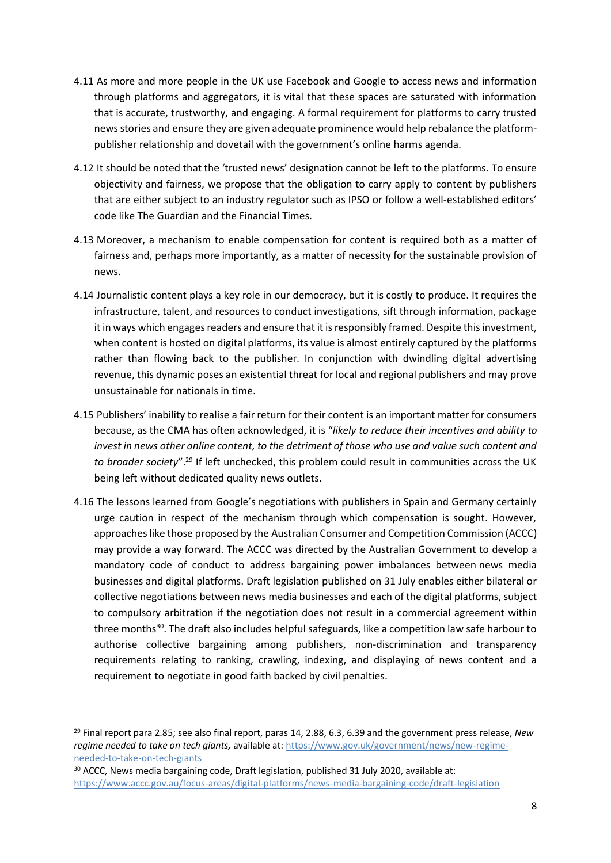- 4.11 As more and more people in the UK use Facebook and Google to access news and information through platforms and aggregators, it is vital that these spaces are saturated with information that is accurate, trustworthy, and engaging. A formal requirement for platforms to carry trusted news stories and ensure they are given adequate prominence would help rebalance the platformpublisher relationship and dovetail with the government's online harms agenda.
- 4.12 It should be noted that the 'trusted news' designation cannot be left to the platforms. To ensure objectivity and fairness, we propose that the obligation to carry apply to content by publishers that are either subject to an industry regulator such as IPSO or follow a well-established editors' code like The Guardian and the Financial Times.
- 4.13 Moreover, a mechanism to enable compensation for content is required both as a matter of fairness and, perhaps more importantly, as a matter of necessity for the sustainable provision of news.
- 4.14 Journalistic content plays a key role in our democracy, but it is costly to produce. It requires the infrastructure, talent, and resources to conduct investigations, sift through information, package it in ways which engages readers and ensure that it is responsibly framed. Despite this investment, when content is hosted on digital platforms, its value is almost entirely captured by the platforms rather than flowing back to the publisher. In conjunction with dwindling digital advertising revenue, this dynamic poses an existential threat for local and regional publishers and may prove unsustainable for nationals in time.
- 4.15 Publishers' inability to realise a fair return for their content is an important matter for consumers because, as the CMA has often acknowledged, it is "*likely to reduce their incentives and ability to invest in news other online content, to the detriment of those who use and value such content and to broader society*".<sup>29</sup> If left unchecked, this problem could result in communities across the UK being left without dedicated quality news outlets.
- 4.16 The lessons learned from Google's negotiations with publishers in Spain and Germany certainly urge caution in respect of the mechanism through which compensation is sought. However, approaches like those proposed by the Australian Consumer and Competition Commission (ACCC) may provide a way forward. The ACCC was directed by the Australian Government to develop a mandatory code of conduct to address bargaining power imbalances between news media businesses and digital platforms. Draft legislation published on 31 July enables either bilateral or collective negotiations between news media businesses and each of the digital platforms, subject to compulsory arbitration if the negotiation does not result in a commercial agreement within three months<sup>30</sup>. The draft also includes helpful safeguards, like a competition law safe harbour to authorise collective bargaining among publishers, non-discrimination and transparency requirements relating to ranking, crawling, indexing, and displaying of news content and a requirement to negotiate in good faith backed by civil penalties.

<sup>29</sup> Final report para 2.85; see also final report, paras 14, 2.88, 6.3, 6.39 and the government press release, *New regime needed to take on tech giants,* available at: [https://www.gov.uk/government/news/new-regime](https://www.gov.uk/government/news/new-regime-needed-to-take-on-tech-giants)[needed-to-take-on-tech-giants](https://www.gov.uk/government/news/new-regime-needed-to-take-on-tech-giants)

<sup>&</sup>lt;sup>30</sup> ACCC, News media bargaining code, Draft legislation, published 31 July 2020, available at: <https://www.accc.gov.au/focus-areas/digital-platforms/news-media-bargaining-code/draft-legislation>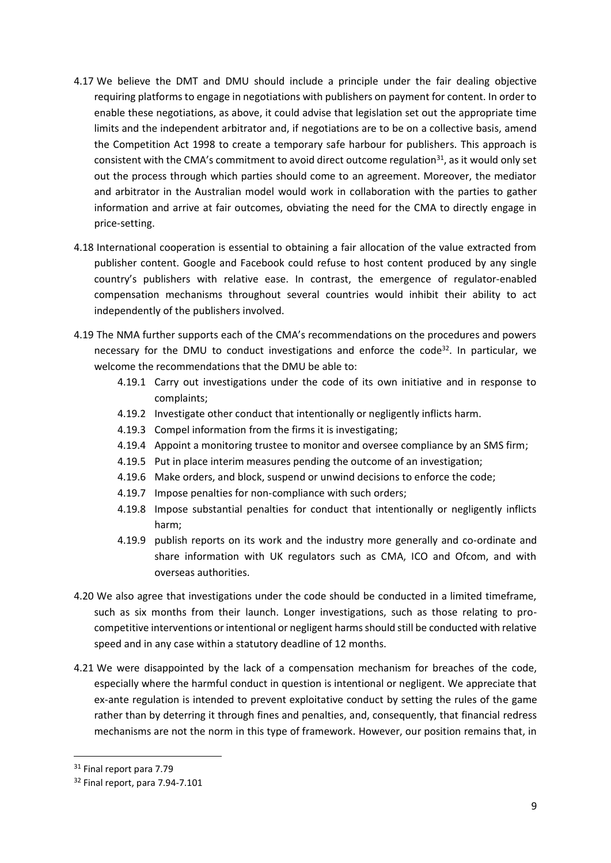- 4.17 We believe the DMT and DMU should include a principle under the fair dealing objective requiring platforms to engage in negotiations with publishers on payment for content. In order to enable these negotiations, as above, it could advise that legislation set out the appropriate time limits and the independent arbitrator and, if negotiations are to be on a collective basis, amend the Competition Act 1998 to create a temporary safe harbour for publishers. This approach is consistent with the CMA's commitment to avoid direct outcome regulation<sup>31</sup>, as it would only set out the process through which parties should come to an agreement. Moreover, the mediator and arbitrator in the Australian model would work in collaboration with the parties to gather information and arrive at fair outcomes, obviating the need for the CMA to directly engage in price-setting.
- 4.18 International cooperation is essential to obtaining a fair allocation of the value extracted from publisher content. Google and Facebook could refuse to host content produced by any single country's publishers with relative ease. In contrast, the emergence of regulator-enabled compensation mechanisms throughout several countries would inhibit their ability to act independently of the publishers involved.
- 4.19 The NMA further supports each of the CMA's recommendations on the procedures and powers necessary for the DMU to conduct investigations and enforce the code<sup>32</sup>. In particular, we welcome the recommendations that the DMU be able to:
	- 4.19.1 Carry out investigations under the code of its own initiative and in response to complaints;
	- 4.19.2 Investigate other conduct that intentionally or negligently inflicts harm.
	- 4.19.3 Compel information from the firms it is investigating;
	- 4.19.4 Appoint a monitoring trustee to monitor and oversee compliance by an SMS firm;
	- 4.19.5 Put in place interim measures pending the outcome of an investigation;
	- 4.19.6 Make orders, and block, suspend or unwind decisions to enforce the code;
	- 4.19.7 Impose penalties for non-compliance with such orders;
	- 4.19.8 Impose substantial penalties for conduct that intentionally or negligently inflicts harm;
	- 4.19.9 publish reports on its work and the industry more generally and co-ordinate and share information with UK regulators such as CMA, ICO and Ofcom, and with overseas authorities.
- 4.20 We also agree that investigations under the code should be conducted in a limited timeframe, such as six months from their launch. Longer investigations, such as those relating to procompetitive interventions or intentional or negligent harms should still be conducted with relative speed and in any case within a statutory deadline of 12 months.
- 4.21 We were disappointed by the lack of a compensation mechanism for breaches of the code, especially where the harmful conduct in question is intentional or negligent. We appreciate that ex-ante regulation is intended to prevent exploitative conduct by setting the rules of the game rather than by deterring it through fines and penalties, and, consequently, that financial redress mechanisms are not the norm in this type of framework. However, our position remains that, in

<sup>&</sup>lt;sup>31</sup> Final report para 7.79

<sup>&</sup>lt;sup>32</sup> Final report, para 7.94-7.101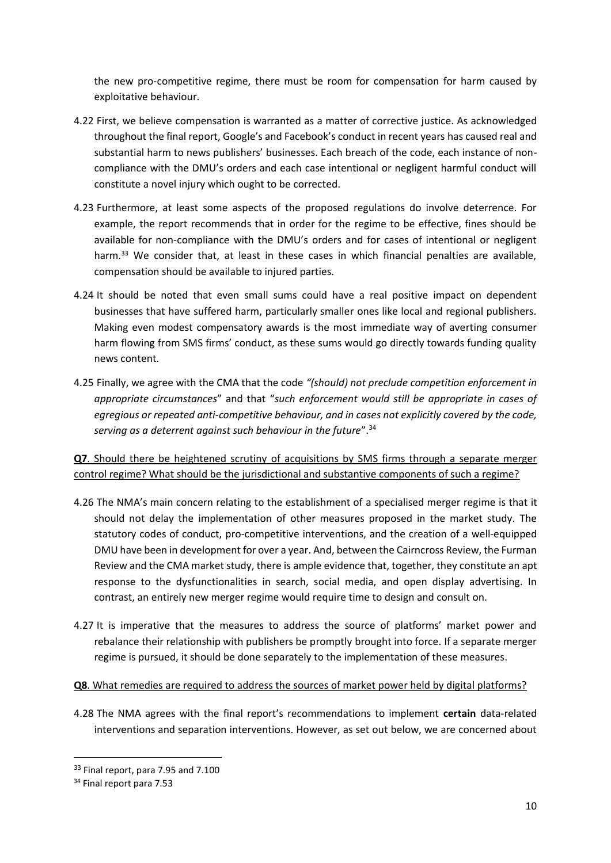the new pro-competitive regime, there must be room for compensation for harm caused by exploitative behaviour.

- 4.22 First, we believe compensation is warranted as a matter of corrective justice. As acknowledged throughout the final report, Google's and Facebook's conduct in recent years has caused real and substantial harm to news publishers' businesses. Each breach of the code, each instance of noncompliance with the DMU's orders and each case intentional or negligent harmful conduct will constitute a novel injury which ought to be corrected.
- 4.23 Furthermore, at least some aspects of the proposed regulations do involve deterrence. For example, the report recommends that in order for the regime to be effective, fines should be available for non-compliance with the DMU's orders and for cases of intentional or negligent harm.<sup>33</sup> We consider that, at least in these cases in which financial penalties are available, compensation should be available to injured parties.
- 4.24 It should be noted that even small sums could have a real positive impact on dependent businesses that have suffered harm, particularly smaller ones like local and regional publishers. Making even modest compensatory awards is the most immediate way of averting consumer harm flowing from SMS firms' conduct, as these sums would go directly towards funding quality news content.
- 4.25 Finally, we agree with the CMA that the code *"(should) not preclude competition enforcement in appropriate circumstances*" and that "*such enforcement would still be appropriate in cases of egregious or repeated anti-competitive behaviour, and in cases not explicitly covered by the code, serving as a deterrent against such behaviour in the future*".<sup>34</sup>

**Q7**. Should there be heightened scrutiny of acquisitions by SMS firms through a separate merger control regime? What should be the jurisdictional and substantive components of such a regime?

- 4.26 The NMA's main concern relating to the establishment of a specialised merger regime is that it should not delay the implementation of other measures proposed in the market study. The statutory codes of conduct, pro-competitive interventions, and the creation of a well-equipped DMU have been in development for over a year. And, between the Cairncross Review, the Furman Review and the CMA market study, there is ample evidence that, together, they constitute an apt response to the dysfunctionalities in search, social media, and open display advertising. In contrast, an entirely new merger regime would require time to design and consult on.
- 4.27 It is imperative that the measures to address the source of platforms' market power and rebalance their relationship with publishers be promptly brought into force. If a separate merger regime is pursued, it should be done separately to the implementation of these measures.

#### **Q8**. What remedies are required to address the sources of market power held by digital platforms?

4.28 The NMA agrees with the final report's recommendations to implement **certain** data-related interventions and separation interventions. However, as set out below, we are concerned about

<sup>&</sup>lt;sup>33</sup> Final report, para 7.95 and 7.100

<sup>34</sup> Final report para 7.53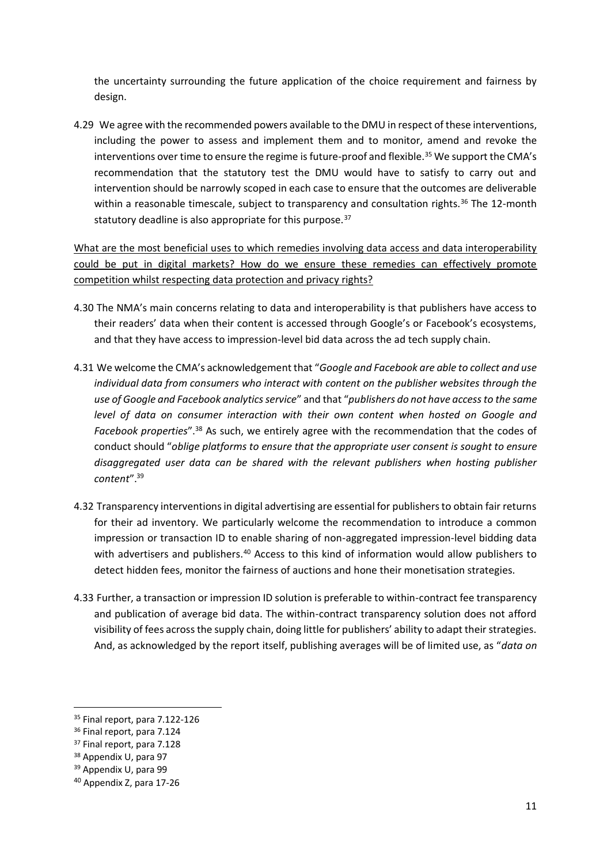the uncertainty surrounding the future application of the choice requirement and fairness by design.

4.29 We agree with the recommended powers available to the DMU in respect of these interventions, including the power to assess and implement them and to monitor, amend and revoke the interventions over time to ensure the regime is future-proof and flexible.<sup>35</sup> We support the CMA's recommendation that the statutory test the DMU would have to satisfy to carry out and intervention should be narrowly scoped in each case to ensure that the outcomes are deliverable within a reasonable timescale, subject to transparency and consultation rights.<sup>36</sup> The 12-month statutory deadline is also appropriate for this purpose. $37$ 

What are the most beneficial uses to which remedies involving data access and data interoperability could be put in digital markets? How do we ensure these remedies can effectively promote competition whilst respecting data protection and privacy rights?

- 4.30 The NMA's main concerns relating to data and interoperability is that publishers have access to their readers' data when their content is accessed through Google's or Facebook's ecosystems, and that they have access to impression-level bid data across the ad tech supply chain.
- 4.31 We welcome the CMA's acknowledgement that "*Google and Facebook are able to collect and use individual data from consumers who interact with content on the publisher websites through the use of Google and Facebook analytics service*" and that "*publishers do not have access to the same level of data on consumer interaction with their own content when hosted on Google and Facebook properties*".<sup>38</sup> As such, we entirely agree with the recommendation that the codes of conduct should "*oblige platforms to ensure that the appropriate user consent is sought to ensure disaggregated user data can be shared with the relevant publishers when hosting publisher content*".<sup>39</sup>
- 4.32 Transparency interventions in digital advertising are essential for publishers to obtain fair returns for their ad inventory. We particularly welcome the recommendation to introduce a common impression or transaction ID to enable sharing of non-aggregated impression-level bidding data with advertisers and publishers.<sup>40</sup> Access to this kind of information would allow publishers to detect hidden fees, monitor the fairness of auctions and hone their monetisation strategies.
- 4.33 Further, a transaction or impression ID solution is preferable to within-contract fee transparency and publication of average bid data. The within-contract transparency solution does not afford visibility of fees across the supply chain, doing little for publishers' ability to adapt their strategies. And, as acknowledged by the report itself, publishing averages will be of limited use, as "*data on*

<sup>&</sup>lt;sup>35</sup> Final report, para 7.122-126

<sup>36</sup> Final report, para 7.124

<sup>37</sup> Final report, para 7.128

<sup>38</sup> Appendix U, para 97

<sup>39</sup> Appendix U, para 99

<sup>40</sup> Appendix Z, para 17-26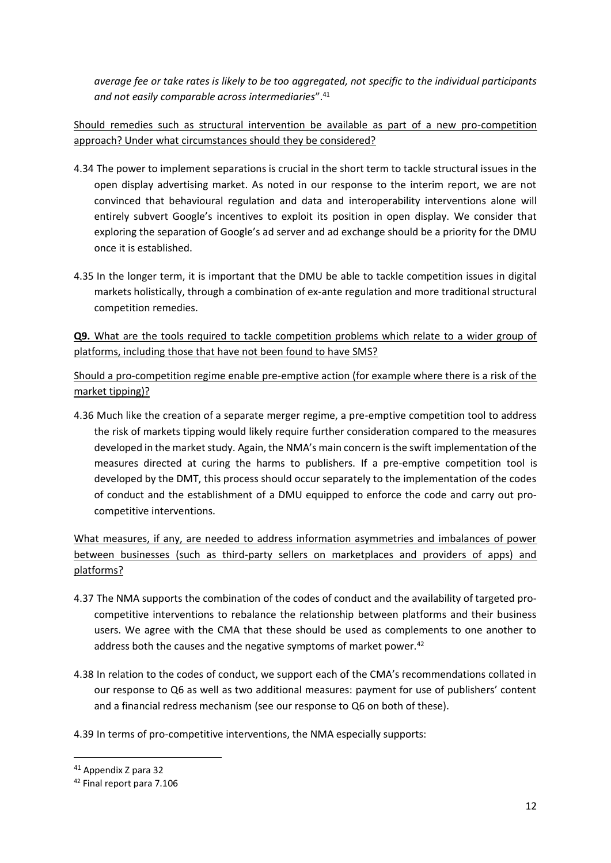*average fee or take rates is likely to be too aggregated, not specific to the individual participants and not easily comparable across intermediaries*".<sup>41</sup>

Should remedies such as structural intervention be available as part of a new pro-competition approach? Under what circumstances should they be considered?

- 4.34 The power to implement separations is crucial in the short term to tackle structural issues in the open display advertising market. As noted in our response to the interim report, we are not convinced that behavioural regulation and data and interoperability interventions alone will entirely subvert Google's incentives to exploit its position in open display. We consider that exploring the separation of Google's ad server and ad exchange should be a priority for the DMU once it is established.
- 4.35 In the longer term, it is important that the DMU be able to tackle competition issues in digital markets holistically, through a combination of ex-ante regulation and more traditional structural competition remedies.

**Q9.** What are the tools required to tackle competition problems which relate to a wider group of platforms, including those that have not been found to have SMS?

Should a pro-competition regime enable pre-emptive action (for example where there is a risk of the market tipping)?

4.36 Much like the creation of a separate merger regime, a pre-emptive competition tool to address the risk of markets tipping would likely require further consideration compared to the measures developed in the market study. Again, the NMA's main concern is the swift implementation of the measures directed at curing the harms to publishers. If a pre-emptive competition tool is developed by the DMT, this process should occur separately to the implementation of the codes of conduct and the establishment of a DMU equipped to enforce the code and carry out procompetitive interventions.

What measures, if any, are needed to address information asymmetries and imbalances of power between businesses (such as third-party sellers on marketplaces and providers of apps) and platforms?

- 4.37 The NMA supports the combination of the codes of conduct and the availability of targeted procompetitive interventions to rebalance the relationship between platforms and their business users. We agree with the CMA that these should be used as complements to one another to address both the causes and the negative symptoms of market power.<sup>42</sup>
- 4.38 In relation to the codes of conduct, we support each of the CMA's recommendations collated in our response to Q6 as well as two additional measures: payment for use of publishers' content and a financial redress mechanism (see our response to Q6 on both of these).
- 4.39 In terms of pro-competitive interventions, the NMA especially supports:

<sup>41</sup> Appendix Z para 32

<sup>42</sup> Final report para 7.106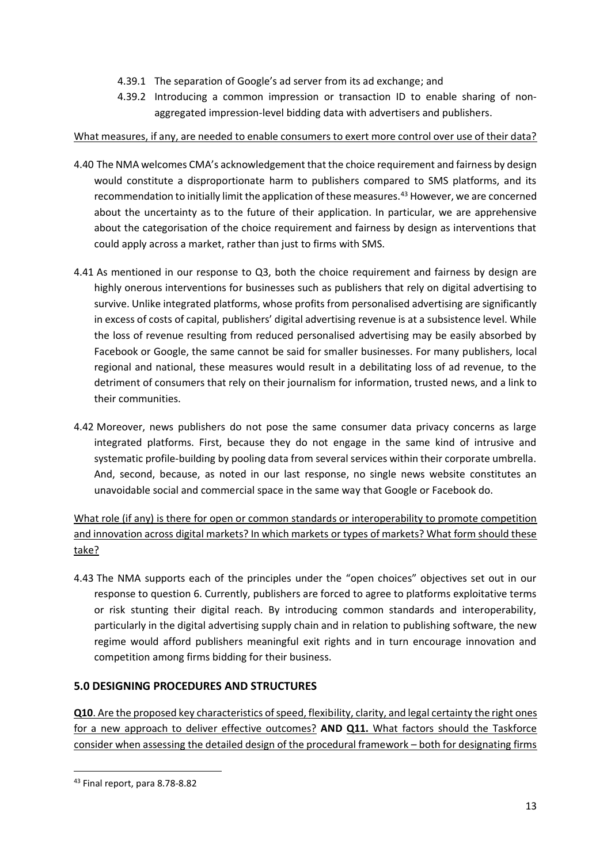- 4.39.1 The separation of Google's ad server from its ad exchange; and
- 4.39.2 Introducing a common impression or transaction ID to enable sharing of nonaggregated impression-level bidding data with advertisers and publishers.

## What measures, if any, are needed to enable consumers to exert more control over use of their data?

- 4.40 The NMA welcomes CMA's acknowledgement that the choice requirement and fairness by design would constitute a disproportionate harm to publishers compared to SMS platforms, and its recommendation to initially limit the application of these measures.<sup>43</sup> However, we are concerned about the uncertainty as to the future of their application. In particular, we are apprehensive about the categorisation of the choice requirement and fairness by design as interventions that could apply across a market, rather than just to firms with SMS.
- 4.41 As mentioned in our response to Q3, both the choice requirement and fairness by design are highly onerous interventions for businesses such as publishers that rely on digital advertising to survive. Unlike integrated platforms, whose profits from personalised advertising are significantly in excess of costs of capital, publishers' digital advertising revenue is at a subsistence level. While the loss of revenue resulting from reduced personalised advertising may be easily absorbed by Facebook or Google, the same cannot be said for smaller businesses. For many publishers, local regional and national, these measures would result in a debilitating loss of ad revenue, to the detriment of consumers that rely on their journalism for information, trusted news, and a link to their communities.
- 4.42 Moreover, news publishers do not pose the same consumer data privacy concerns as large integrated platforms. First, because they do not engage in the same kind of intrusive and systematic profile-building by pooling data from several services within their corporate umbrella. And, second, because, as noted in our last response, no single news website constitutes an unavoidable social and commercial space in the same way that Google or Facebook do.

What role (if any) is there for open or common standards or interoperability to promote competition and innovation across digital markets? In which markets or types of markets? What form should these take?

4.43 The NMA supports each of the principles under the "open choices" objectives set out in our response to question 6. Currently, publishers are forced to agree to platforms exploitative terms or risk stunting their digital reach. By introducing common standards and interoperability, particularly in the digital advertising supply chain and in relation to publishing software, the new regime would afford publishers meaningful exit rights and in turn encourage innovation and competition among firms bidding for their business.

# **5.0 DESIGNING PROCEDURES AND STRUCTURES**

**Q10**. Are the proposed key characteristics of speed, flexibility, clarity, and legal certainty the right ones for a new approach to deliver effective outcomes? **AND Q11.** What factors should the Taskforce consider when assessing the detailed design of the procedural framework – both for designating firms

<sup>43</sup> Final report, para 8.78-8.82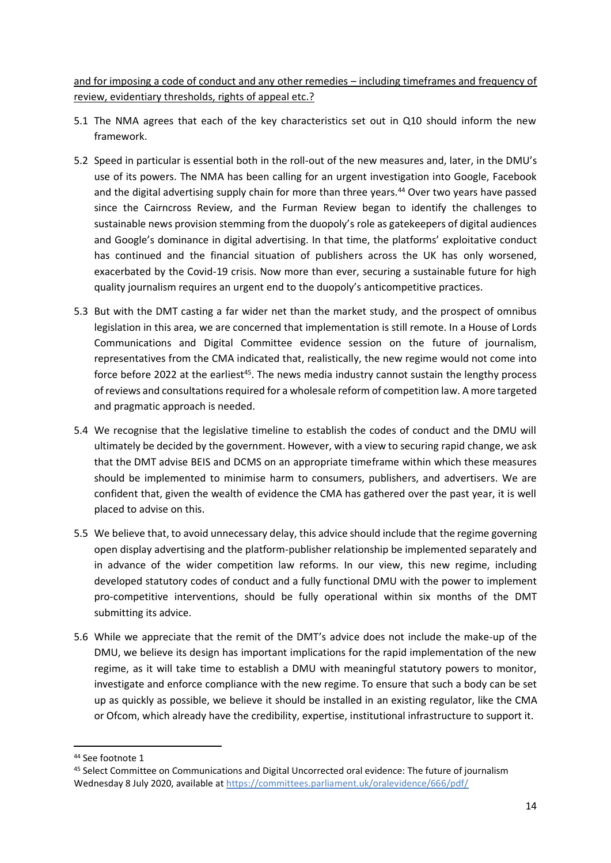and for imposing a code of conduct and any other remedies – including timeframes and frequency of review, evidentiary thresholds, rights of appeal etc.?

- 5.1 The NMA agrees that each of the key characteristics set out in Q10 should inform the new framework.
- 5.2 Speed in particular is essential both in the roll-out of the new measures and, later, in the DMU's use of its powers. The NMA has been calling for an urgent investigation into Google, Facebook and the digital advertising supply chain for more than three years.<sup>44</sup> Over two years have passed since the Cairncross Review, and the Furman Review began to identify the challenges to sustainable news provision stemming from the duopoly's role as gatekeepers of digital audiences and Google's dominance in digital advertising. In that time, the platforms' exploitative conduct has continued and the financial situation of publishers across the UK has only worsened, exacerbated by the Covid-19 crisis. Now more than ever, securing a sustainable future for high quality journalism requires an urgent end to the duopoly's anticompetitive practices.
- 5.3 But with the DMT casting a far wider net than the market study, and the prospect of omnibus legislation in this area, we are concerned that implementation is still remote. In a House of Lords Communications and Digital Committee evidence session on the future of journalism, representatives from the CMA indicated that, realistically, the new regime would not come into force before 2022 at the earliest<sup>45</sup>. The news media industry cannot sustain the lengthy process of reviews and consultations required for a wholesale reform of competition law. A more targeted and pragmatic approach is needed.
- 5.4 We recognise that the legislative timeline to establish the codes of conduct and the DMU will ultimately be decided by the government. However, with a view to securing rapid change, we ask that the DMT advise BEIS and DCMS on an appropriate timeframe within which these measures should be implemented to minimise harm to consumers, publishers, and advertisers. We are confident that, given the wealth of evidence the CMA has gathered over the past year, it is well placed to advise on this.
- 5.5 We believe that, to avoid unnecessary delay, this advice should include that the regime governing open display advertising and the platform-publisher relationship be implemented separately and in advance of the wider competition law reforms. In our view, this new regime, including developed statutory codes of conduct and a fully functional DMU with the power to implement pro-competitive interventions, should be fully operational within six months of the DMT submitting its advice.
- 5.6 While we appreciate that the remit of the DMT's advice does not include the make-up of the DMU, we believe its design has important implications for the rapid implementation of the new regime, as it will take time to establish a DMU with meaningful statutory powers to monitor, investigate and enforce compliance with the new regime. To ensure that such a body can be set up as quickly as possible, we believe it should be installed in an existing regulator, like the CMA or Ofcom, which already have the credibility, expertise, institutional infrastructure to support it.

<sup>44</sup> See footnote 1

<sup>45</sup> Select Committee on Communications and Digital Uncorrected oral evidence: The future of journalism Wednesday 8 July 2020, available at <https://committees.parliament.uk/oralevidence/666/pdf/>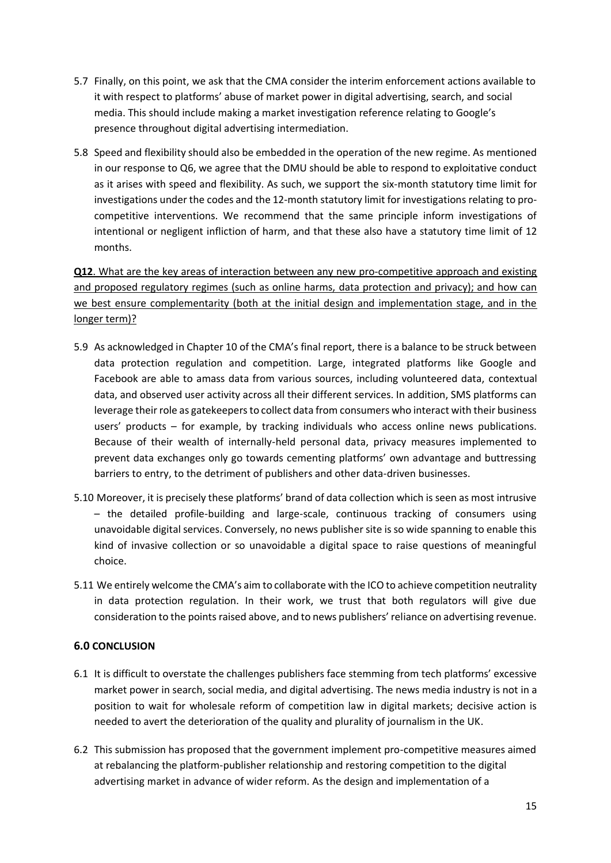- 5.7 Finally, on this point, we ask that the CMA consider the interim enforcement actions available to it with respect to platforms' abuse of market power in digital advertising, search, and social media. This should include making a market investigation reference relating to Google's presence throughout digital advertising intermediation.
- 5.8 Speed and flexibility should also be embedded in the operation of the new regime. As mentioned in our response to Q6, we agree that the DMU should be able to respond to exploitative conduct as it arises with speed and flexibility. As such, we support the six-month statutory time limit for investigations under the codes and the 12-month statutory limit for investigations relating to procompetitive interventions. We recommend that the same principle inform investigations of intentional or negligent infliction of harm, and that these also have a statutory time limit of 12 months.

**Q12**. What are the key areas of interaction between any new pro-competitive approach and existing and proposed regulatory regimes (such as online harms, data protection and privacy); and how can we best ensure complementarity (both at the initial design and implementation stage, and in the longer term)?

- 5.9 As acknowledged in Chapter 10 of the CMA's final report, there is a balance to be struck between data protection regulation and competition. Large, integrated platforms like Google and Facebook are able to amass data from various sources, including volunteered data, contextual data, and observed user activity across all their different services. In addition, SMS platforms can leverage their role as gatekeepers to collect data from consumers who interact with their business users' products – for example, by tracking individuals who access online news publications. Because of their wealth of internally-held personal data, privacy measures implemented to prevent data exchanges only go towards cementing platforms' own advantage and buttressing barriers to entry, to the detriment of publishers and other data-driven businesses.
- 5.10 Moreover, it is precisely these platforms' brand of data collection which is seen as most intrusive – the detailed profile-building and large-scale, continuous tracking of consumers using unavoidable digital services. Conversely, no news publisher site is so wide spanning to enable this kind of invasive collection or so unavoidable a digital space to raise questions of meaningful choice.
- 5.11 We entirely welcome the CMA's aim to collaborate with the ICO to achieve competition neutrality in data protection regulation. In their work, we trust that both regulators will give due consideration to the points raised above, and to news publishers' reliance on advertising revenue.

#### **6.0 CONCLUSION**

- 6.1 It is difficult to overstate the challenges publishers face stemming from tech platforms' excessive market power in search, social media, and digital advertising. The news media industry is not in a position to wait for wholesale reform of competition law in digital markets; decisive action is needed to avert the deterioration of the quality and plurality of journalism in the UK.
- 6.2 This submission has proposed that the government implement pro-competitive measures aimed at rebalancing the platform-publisher relationship and restoring competition to the digital advertising market in advance of wider reform. As the design and implementation of a